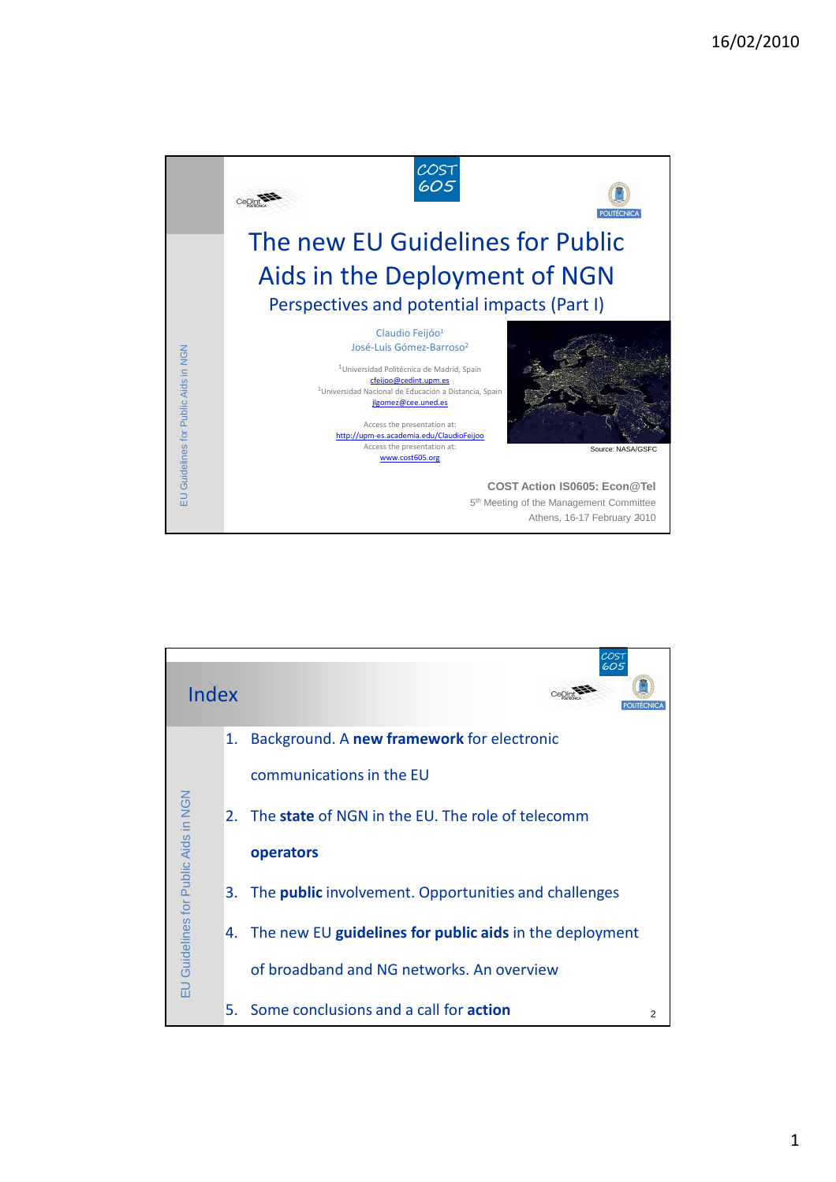## 16/02/2010





1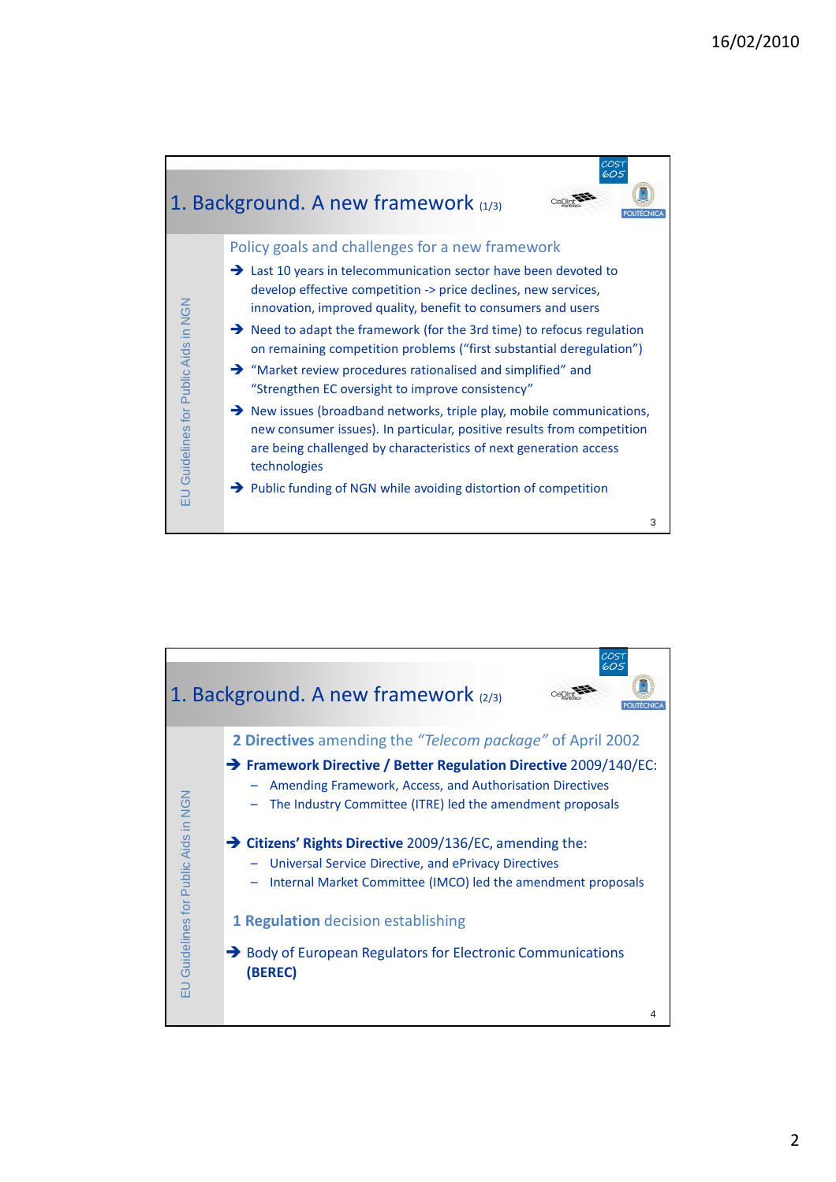

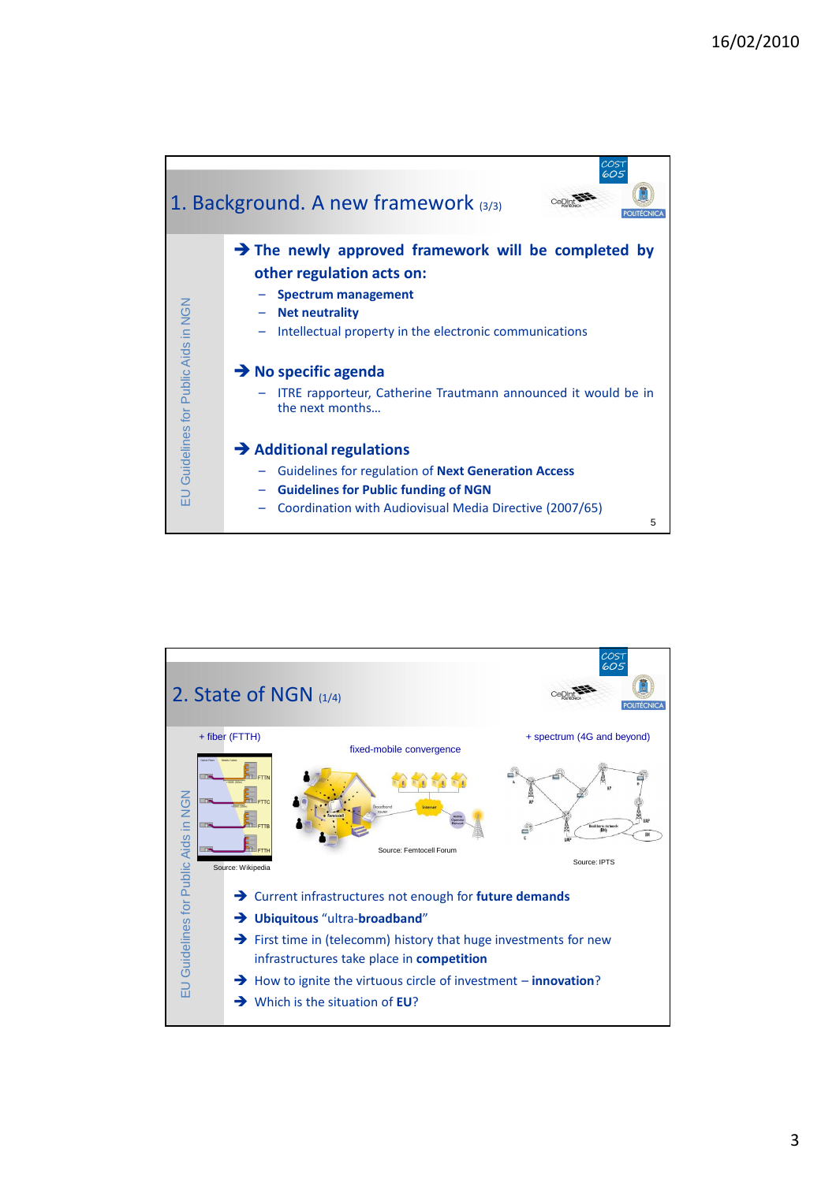

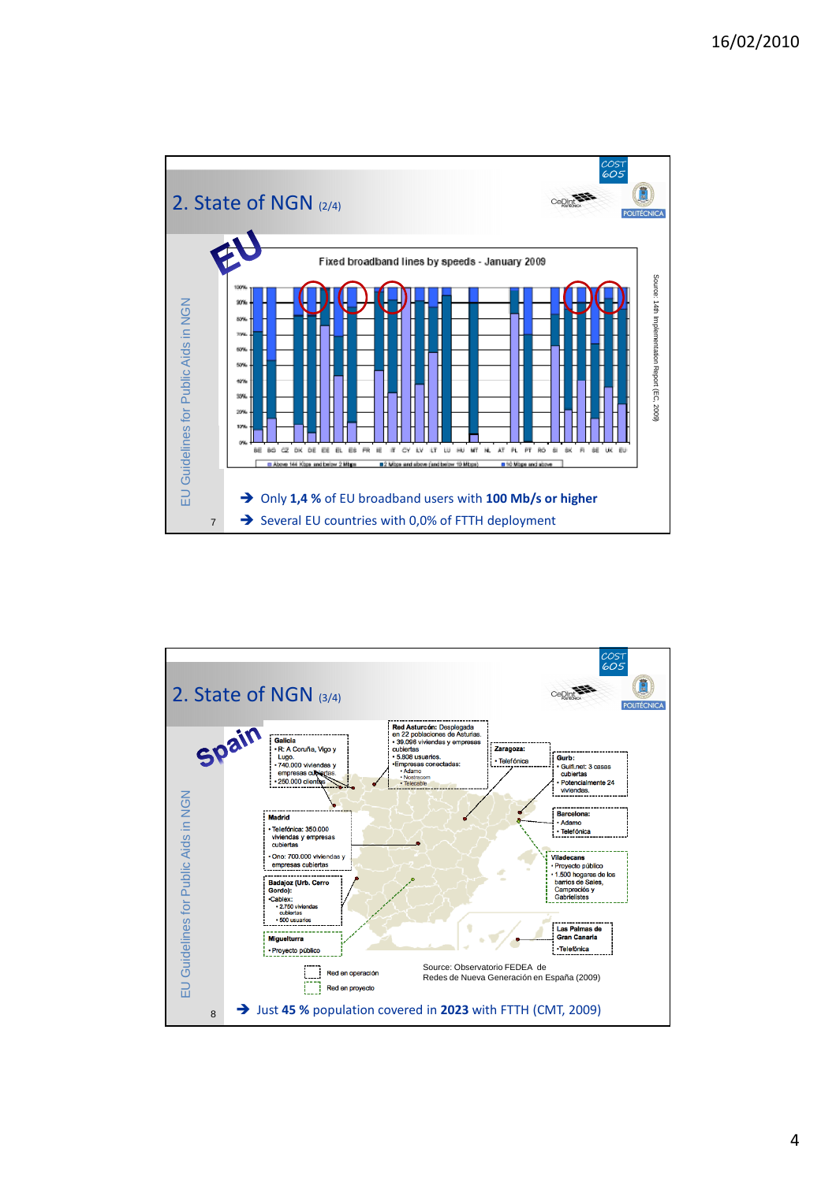

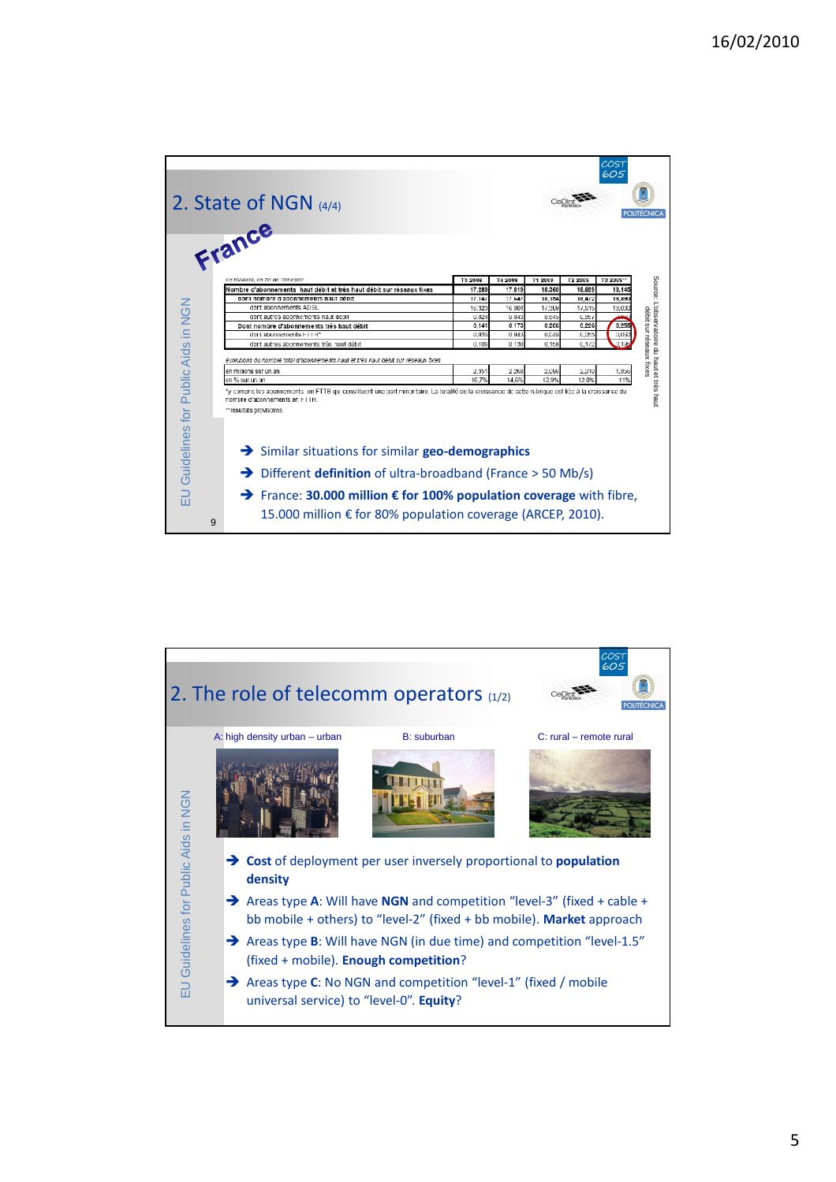|                                      | 2. State of NGN $(4/4)$<br>France                                                                                                                                                                                |                |                |               |                | COS <sup>-</sup><br>605 | POLITECNIC/                                                            |
|--------------------------------------|------------------------------------------------------------------------------------------------------------------------------------------------------------------------------------------------------------------|----------------|----------------|---------------|----------------|-------------------------|------------------------------------------------------------------------|
|                                      | en millions, en fin de trimestre                                                                                                                                                                                 | <b>T3 200B</b> | T4 2008        | T1 2009       | T2 2009        | T3 2009 <sup>22</sup>   |                                                                        |
|                                      | Nombre d'abonnements haut débit et très haut débit sur réseaux fixes                                                                                                                                             | 17.289         | 17.819         | 18.360        | 18,699         | 19,145                  |                                                                        |
|                                      | dont nombre d'abonnements haut débit                                                                                                                                                                             | 17,147         | 17.647         | 18.154        | 18.472         | 18,890                  |                                                                        |
|                                      | dont abonnements ADSL                                                                                                                                                                                            | 16.32.         | 16.80/         | 17,309        | 17,515         | 18,03                   |                                                                        |
|                                      | dont autres abonnements haut debit                                                                                                                                                                               | 0.824          | 0.843          | 0.845         | 0,857          | مد                      |                                                                        |
|                                      | Dont nombre d'abonnements très haut débit                                                                                                                                                                        | 0.141          | 0.173          | 0.206         | 0.226          | 0.255                   |                                                                        |
|                                      | dont abonnements FTTH*                                                                                                                                                                                           | 0.035          | 0.043          | 0.048         | <b>C.Dat</b>   | 0.05                    |                                                                        |
|                                      | dont autres abonnements très haut débit                                                                                                                                                                          | 0.106          | 0.130          | 0.158         | 0.1/2          |                         |                                                                        |
|                                      | évolutions du nombre total d'abonnements haut et très haut débit sur réseaux fixes<br>en millions sur un an<br>en % sur un an                                                                                    | 2,351<br>16.7% | 2.268<br>14.6% | 2,096<br>129% | 2,010<br>12.0% | 1,856<br>11%            | Source: L'observatoire du haut et très haut<br>débit sur réseaux fixes |
|                                      | *y compris les abonnements en FTTB qui constituent une part minoritaire. La totalité de la croissance de cette rubrique est liée à la croissance du<br>nombre d'abonnements en FTTH.<br>**résultats provisoires. |                |                |               |                |                         |                                                                        |
| EU Guidelines for Public Aids in NGN | $\rightarrow$ Similar situations for similar geo-demographics<br>$\rightarrow$ Different definition of ultra-broadband (France > 50 Mb/s)<br>→ France: 30.000 million € for 100% population coverage with fibre, |                |                |               |                |                         |                                                                        |
|                                      | 15.000 million $€$ for 80% population coverage (ARCEP, 2010).<br>9                                                                                                                                               |                |                |               |                |                         |                                                                        |

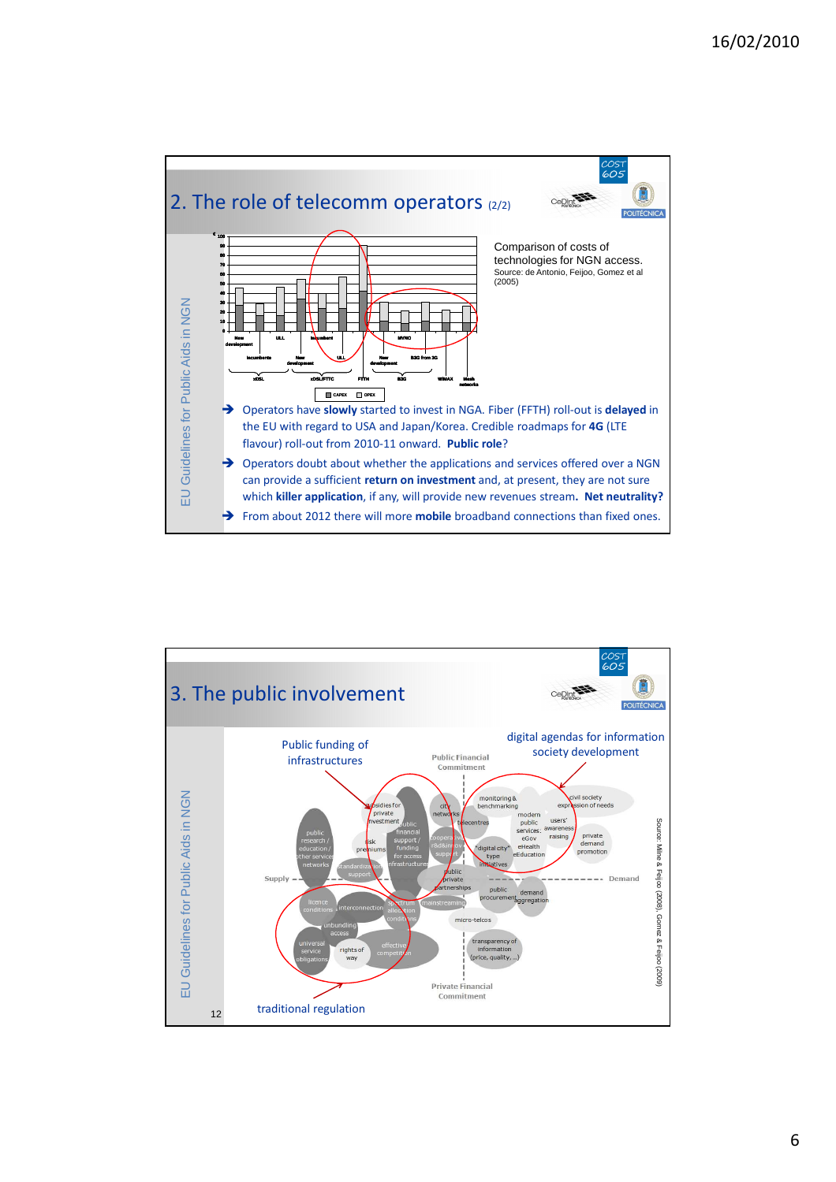

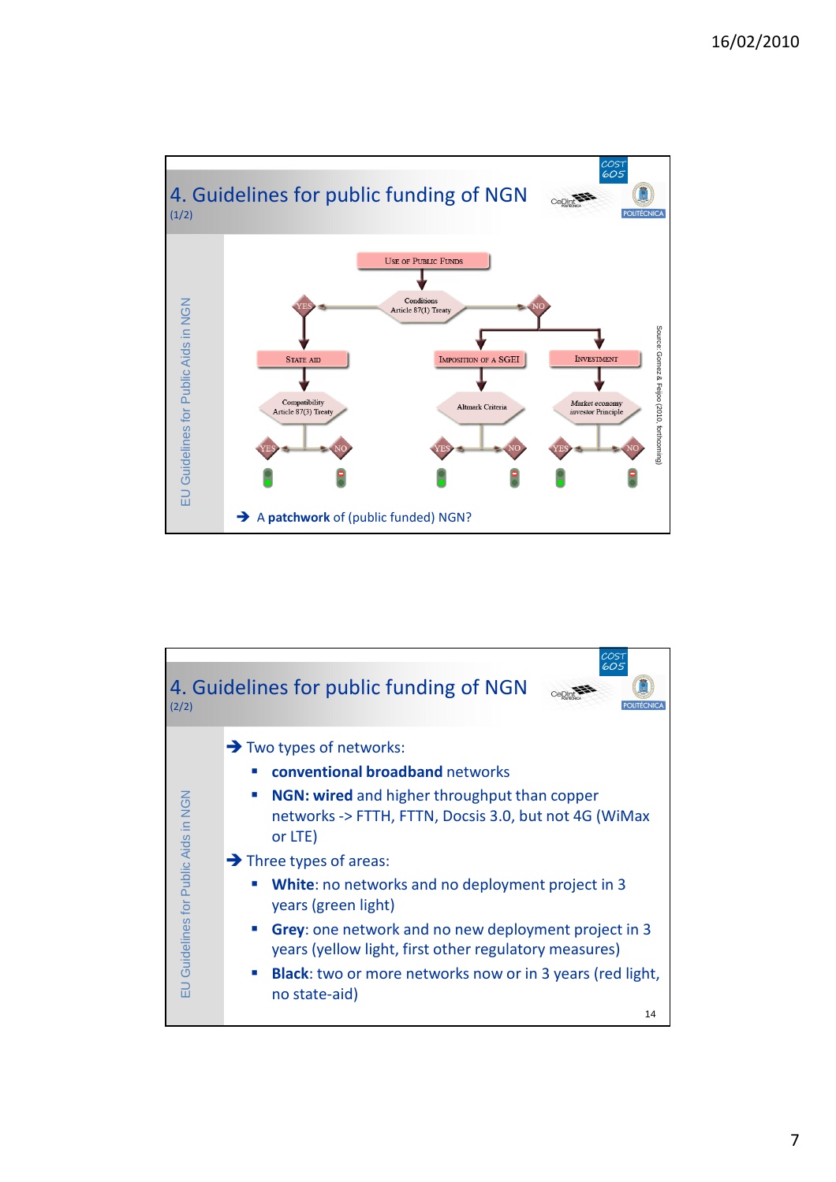

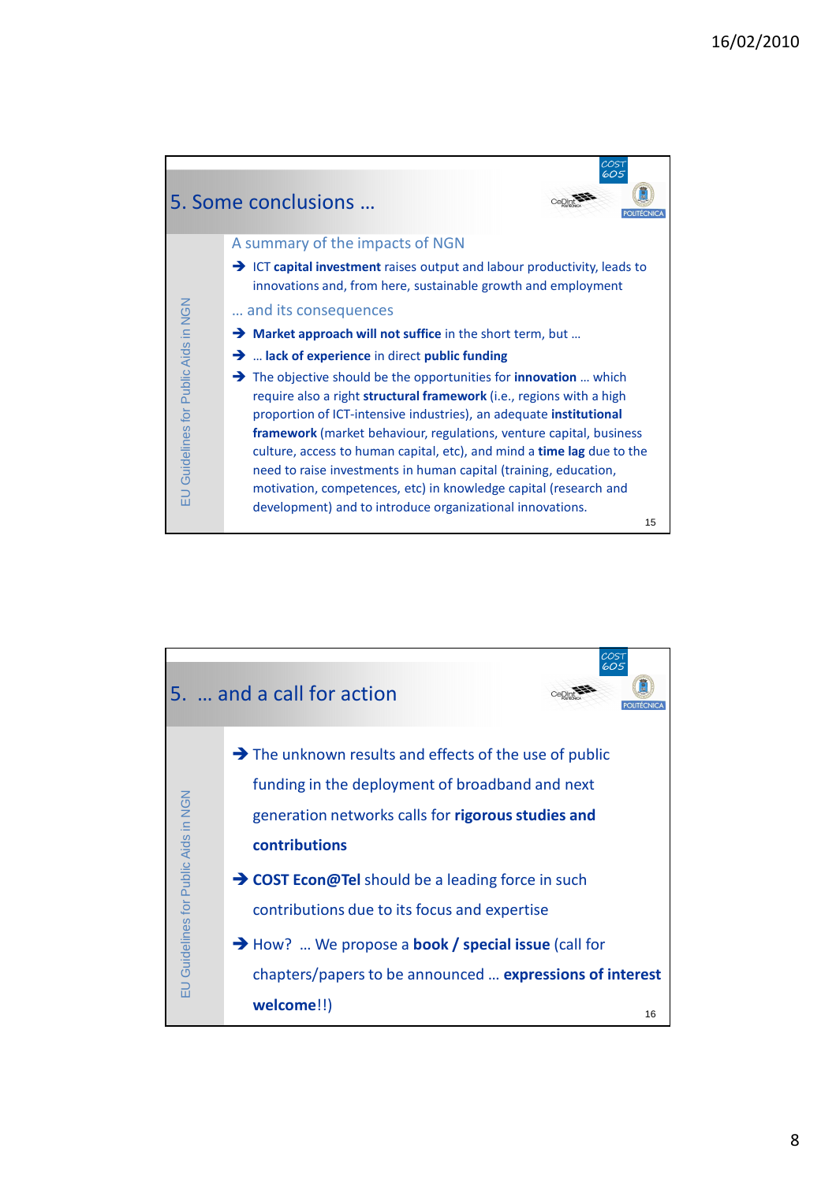